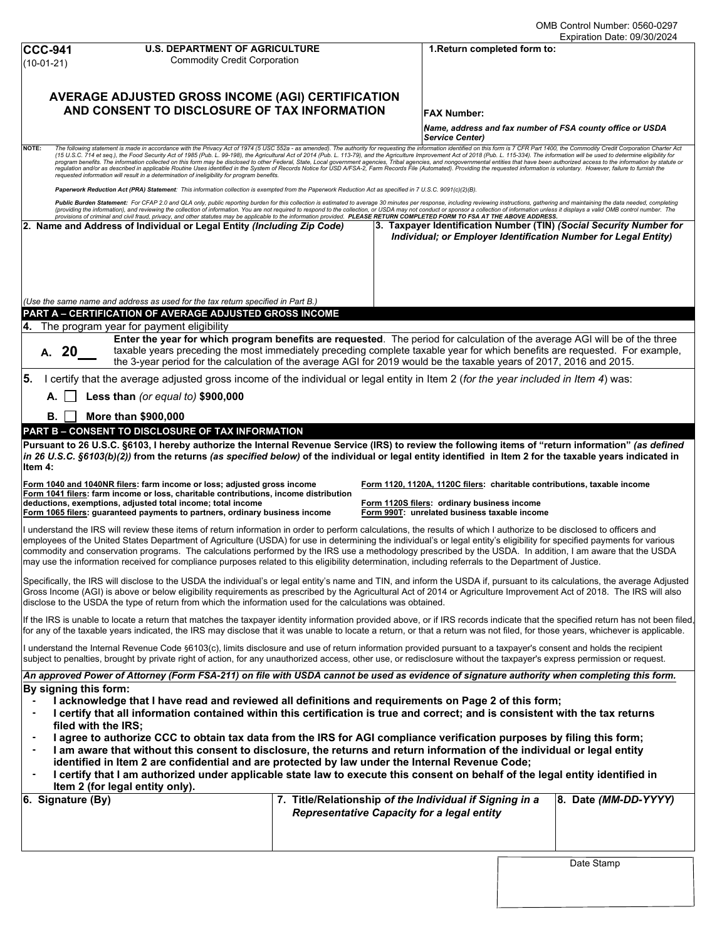|                                                                                                                                                                                                                                                                                                                                                                                                                                                                                                                                                                                                                                                                                                                                                                                                                                                                                                                                                                                                                                     |                                                                                                                                                                                                                                                                                                                                               |  |                                                                                                              | Expiration Date: 09/30/2024 |  |
|-------------------------------------------------------------------------------------------------------------------------------------------------------------------------------------------------------------------------------------------------------------------------------------------------------------------------------------------------------------------------------------------------------------------------------------------------------------------------------------------------------------------------------------------------------------------------------------------------------------------------------------------------------------------------------------------------------------------------------------------------------------------------------------------------------------------------------------------------------------------------------------------------------------------------------------------------------------------------------------------------------------------------------------|-----------------------------------------------------------------------------------------------------------------------------------------------------------------------------------------------------------------------------------------------------------------------------------------------------------------------------------------------|--|--------------------------------------------------------------------------------------------------------------|-----------------------------|--|
| <b>CCC-941</b><br>$(10-01-21)$                                                                                                                                                                                                                                                                                                                                                                                                                                                                                                                                                                                                                                                                                                                                                                                                                                                                                                                                                                                                      | <b>U.S. DEPARTMENT OF AGRICULTURE</b><br><b>Commodity Credit Corporation</b>                                                                                                                                                                                                                                                                  |  | 1. Return completed form to:                                                                                 |                             |  |
| AVERAGE ADJUSTED GROSS INCOME (AGI) CERTIFICATION<br>AND CONSENT TO DISCLOSURE OF TAX INFORMATION                                                                                                                                                                                                                                                                                                                                                                                                                                                                                                                                                                                                                                                                                                                                                                                                                                                                                                                                   |                                                                                                                                                                                                                                                                                                                                               |  | <b>FAX Number:</b><br>Name, address and fax number of FSA county office or USDA                              |                             |  |
| NOTE:                                                                                                                                                                                                                                                                                                                                                                                                                                                                                                                                                                                                                                                                                                                                                                                                                                                                                                                                                                                                                               |                                                                                                                                                                                                                                                                                                                                               |  | Service Center)                                                                                              |                             |  |
| The following statement is made in accordance with the Privacy Act of 1974 (5 USC 552a - as amended). The authority for requesting the information identified on this form is 7 CFR Part 1400, the Commodity Credit Corporatio<br>(15 U.S.C. 714 et seq.), the Food Security Act of 1985 (Pub. L. 99-198), the Agricultural Act of 2014 (Pub. L. 113-79), and the Agriculture Improvement Act of 2018 (Pub. L. 115-334). The information will be used to determi<br>program benefits. The information collected on this form may be disclosed to other Federal, State, Local government agencies, Tribal agencies, and nongovernmental entities that have been authorized access to the informatio<br>regulation and/or as described in applicable Routine Uses identified in the System of Records Notice for USD A/FSA-2, Farm Records File (Automated). Providing the requested information is voluntary. However, failure to fur<br>requested information will result in a determination of ineligibility for program benefits. |                                                                                                                                                                                                                                                                                                                                               |  |                                                                                                              |                             |  |
|                                                                                                                                                                                                                                                                                                                                                                                                                                                                                                                                                                                                                                                                                                                                                                                                                                                                                                                                                                                                                                     | Paperwork Reduction Act (PRA) Statement: This information collection is exempted from the Paperwork Reduction Act as specified in 7 U.S.C. 9091(c)(2)(B).                                                                                                                                                                                     |  |                                                                                                              |                             |  |
| Public Burden Statement: For CFAP 2.0 and QLA only, public reporting burden for this collection is estimated to average 30 minutes per response, including reviewing instructions, gathering and maintaining the data needed,<br>(providing the information), and reviewing the collection of information. You are not required to respond to the collection, or USDA may not conduct or sponsor a collection of information unless it displays a valid OMB con<br>provisions of criminal and civil fraud, privacy, and other statutes may be applicable to the information provided. PLEASE RETURN COMPLETED FORM TO FSA AT THE ABOVE ADDRESS.                                                                                                                                                                                                                                                                                                                                                                                     |                                                                                                                                                                                                                                                                                                                                               |  |                                                                                                              |                             |  |
| 3. Taxpayer Identification Number (TIN) (Social Security Number for<br>2. Name and Address of Individual or Legal Entity <i>(Including Zip Code)</i><br>Individual; or Employer Identification Number for Legal Entity)                                                                                                                                                                                                                                                                                                                                                                                                                                                                                                                                                                                                                                                                                                                                                                                                             |                                                                                                                                                                                                                                                                                                                                               |  |                                                                                                              |                             |  |
|                                                                                                                                                                                                                                                                                                                                                                                                                                                                                                                                                                                                                                                                                                                                                                                                                                                                                                                                                                                                                                     |                                                                                                                                                                                                                                                                                                                                               |  |                                                                                                              |                             |  |
|                                                                                                                                                                                                                                                                                                                                                                                                                                                                                                                                                                                                                                                                                                                                                                                                                                                                                                                                                                                                                                     | (Use the same name and address as used for the tax return specified in Part B.)<br>PART A – CERTIFICATION OF AVERAGE ADJUSTED GROSS INCOME                                                                                                                                                                                                    |  |                                                                                                              |                             |  |
|                                                                                                                                                                                                                                                                                                                                                                                                                                                                                                                                                                                                                                                                                                                                                                                                                                                                                                                                                                                                                                     | 4. The program year for payment eligibility                                                                                                                                                                                                                                                                                                   |  |                                                                                                              |                             |  |
| Enter the year for which program benefits are requested. The period for calculation of the average AGI will be of the three<br>taxable years preceding the most immediately preceding complete taxable year for which benefits are requested. For example,<br>A. 20<br>the 3-year period for the calculation of the average AGI for 2019 would be the taxable years of 2017, 2016 and 2015.                                                                                                                                                                                                                                                                                                                                                                                                                                                                                                                                                                                                                                         |                                                                                                                                                                                                                                                                                                                                               |  |                                                                                                              |                             |  |
| 5.                                                                                                                                                                                                                                                                                                                                                                                                                                                                                                                                                                                                                                                                                                                                                                                                                                                                                                                                                                                                                                  | I certify that the average adjusted gross income of the individual or legal entity in Item 2 (for the year included in Item 4) was:                                                                                                                                                                                                           |  |                                                                                                              |                             |  |
| А.                                                                                                                                                                                                                                                                                                                                                                                                                                                                                                                                                                                                                                                                                                                                                                                                                                                                                                                                                                                                                                  | Less than (or equal to) \$900,000                                                                                                                                                                                                                                                                                                             |  |                                                                                                              |                             |  |
| В.                                                                                                                                                                                                                                                                                                                                                                                                                                                                                                                                                                                                                                                                                                                                                                                                                                                                                                                                                                                                                                  | More than \$900,000<br>PART B - CONSENT TO DISCLOSURE OF TAX INFORMATION                                                                                                                                                                                                                                                                      |  |                                                                                                              |                             |  |
| Pursuant to 26 U.S.C. §6103, I hereby authorize the Internal Revenue Service (IRS) to review the following items of "return information" (as defined<br>in 26 U.S.C. §6103(b)(2)) from the returns (as specified below) of the individual or legal entity identified in Item 2 for the taxable years indicated in<br>Item 4:<br>Form 1040 and 1040NR filers: farm income or loss; adjusted gross income<br>Form 1120, 1120A, 1120C filers: charitable contributions, taxable income                                                                                                                                                                                                                                                                                                                                                                                                                                                                                                                                                 |                                                                                                                                                                                                                                                                                                                                               |  |                                                                                                              |                             |  |
| Form 1041 filers: farm income or loss, charitable contributions, income distribution<br>deductions, exemptions, adjusted total income; total income<br>Form 1065 filers: guaranteed payments to partners, ordinary business income                                                                                                                                                                                                                                                                                                                                                                                                                                                                                                                                                                                                                                                                                                                                                                                                  |                                                                                                                                                                                                                                                                                                                                               |  | Form 1120S filers: ordinary business income<br>Form 990T: unrelated business taxable income                  |                             |  |
| I understand the IRS will review these items of return information in order to perform calculations, the results of which I authorize to be disclosed to officers and<br>employees of the United States Department of Agriculture (USDA) for use in determining the individual's or legal entity's eligibility for specified payments for various<br>commodity and conservation programs. The calculations performed by the IRS use a methodology prescribed by the USDA. In addition, I am aware that the USDA<br>may use the information received for compliance purposes related to this eligibility determination, including referrals to the Department of Justice.                                                                                                                                                                                                                                                                                                                                                            |                                                                                                                                                                                                                                                                                                                                               |  |                                                                                                              |                             |  |
| Specifically, the IRS will disclose to the USDA the individual's or legal entity's name and TIN, and inform the USDA if, pursuant to its calculations, the average Adjusted<br>Gross Income (AGI) is above or below eligibility requirements as prescribed by the Agricultural Act of 2014 or Agriculture Improvement Act of 2018. The IRS will also<br>disclose to the USDA the type of return from which the information used for the calculations was obtained.                                                                                                                                                                                                                                                                                                                                                                                                                                                                                                                                                                  |                                                                                                                                                                                                                                                                                                                                               |  |                                                                                                              |                             |  |
| If the IRS is unable to locate a return that matches the taxpayer identity information provided above, or if IRS records indicate that the specified return has not been filed,<br>for any of the taxable years indicated, the IRS may disclose that it was unable to locate a return, or that a return was not filed, for those years, whichever is applicable.                                                                                                                                                                                                                                                                                                                                                                                                                                                                                                                                                                                                                                                                    |                                                                                                                                                                                                                                                                                                                                               |  |                                                                                                              |                             |  |
|                                                                                                                                                                                                                                                                                                                                                                                                                                                                                                                                                                                                                                                                                                                                                                                                                                                                                                                                                                                                                                     | l understand the Internal Revenue Code §6103(c), limits disclosure and use of return information provided pursuant to a taxpayer's consent and holds the recipient<br>subject to penalties, brought by private right of action, for any unauthorized access, other use, or redisclosure without the taxpayer's express permission or request. |  |                                                                                                              |                             |  |
|                                                                                                                                                                                                                                                                                                                                                                                                                                                                                                                                                                                                                                                                                                                                                                                                                                                                                                                                                                                                                                     | An approved Power of Attorney (Form FSA-211) on file with USDA cannot be used as evidence of signature authority when completing this form.                                                                                                                                                                                                   |  |                                                                                                              |                             |  |
| By signing this form:<br>filed with the IRS;                                                                                                                                                                                                                                                                                                                                                                                                                                                                                                                                                                                                                                                                                                                                                                                                                                                                                                                                                                                        | I acknowledge that I have read and reviewed all definitions and requirements on Page 2 of this form;<br>I certify that all information contained within this certification is true and correct; and is consistent with the tax returns                                                                                                        |  |                                                                                                              |                             |  |
| I agree to authorize CCC to obtain tax data from the IRS for AGI compliance verification purposes by filing this form;<br>I am aware that without this consent to disclosure, the returns and return information of the individual or legal entity<br>٠<br>identified in Item 2 are confidential and are protected by law under the Internal Revenue Code;<br>I certify that I am authorized under applicable state law to execute this consent on behalf of the legal entity identified in<br>٠                                                                                                                                                                                                                                                                                                                                                                                                                                                                                                                                    |                                                                                                                                                                                                                                                                                                                                               |  |                                                                                                              |                             |  |
| Item 2 (for legal entity only).                                                                                                                                                                                                                                                                                                                                                                                                                                                                                                                                                                                                                                                                                                                                                                                                                                                                                                                                                                                                     |                                                                                                                                                                                                                                                                                                                                               |  |                                                                                                              |                             |  |
| 6. Signature (By)                                                                                                                                                                                                                                                                                                                                                                                                                                                                                                                                                                                                                                                                                                                                                                                                                                                                                                                                                                                                                   |                                                                                                                                                                                                                                                                                                                                               |  | 7. Title/Relationship of the Individual if Signing in a<br><b>Representative Capacity for a legal entity</b> | 8. Date (MM-DD-YYYY)        |  |
|                                                                                                                                                                                                                                                                                                                                                                                                                                                                                                                                                                                                                                                                                                                                                                                                                                                                                                                                                                                                                                     |                                                                                                                                                                                                                                                                                                                                               |  |                                                                                                              |                             |  |

Date Stamp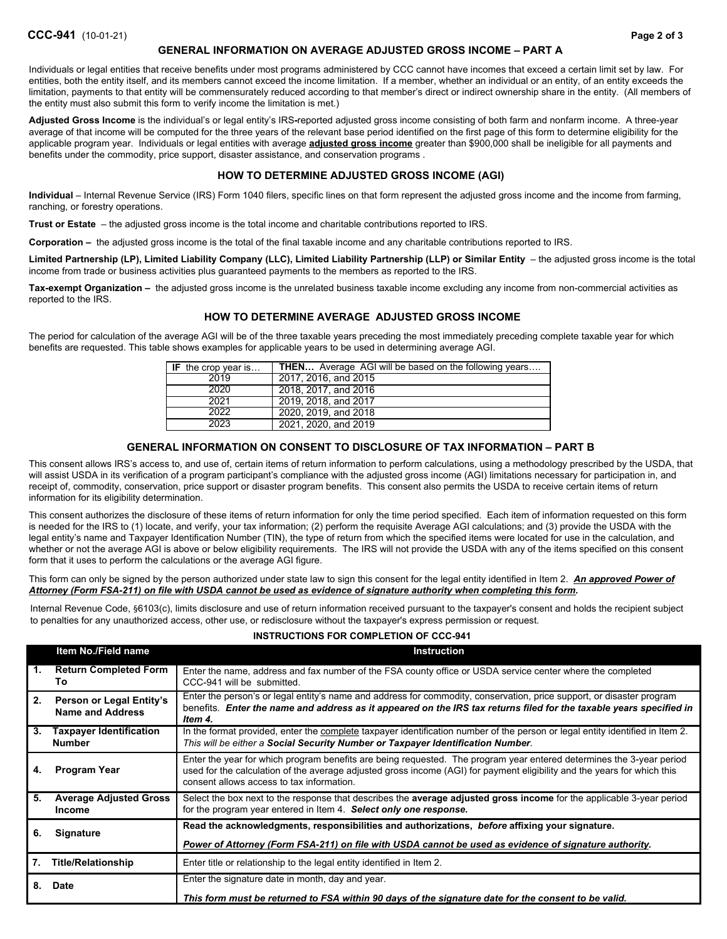### **GENERAL INFORMATION ON AVERAGE ADJUSTED GROSS INCOME – PART A**

Individuals or legal entities that receive benefits under most programs administered by CCC cannot have incomes that exceed a certain limit set by law. For entities, both the entity itself, and its members cannot exceed the income limitation. If a member, whether an individual or an entity, of an entity exceeds the limitation, payments to that entity will be commensurately reduced according to that member's direct or indirect ownership share in the entity. (All members of the entity must also submit this form to verify income the limitation is met.)

**Adjusted Gross Income** is the individual's or legal entity's IRS**-**reported adjusted gross income consisting of both farm and nonfarm income. A three-year average of that income will be computed for the three years of the relevant base period identified on the first page of this form to determine eligibility for the applicable program year. Individuals or legal entities with average **adjusted gross income** greater than \$900,000 shall be ineligible for all payments and benefits under the commodity, price support, disaster assistance, and conservation programs .

## **HOW TO DETERMINE ADJUSTED GROSS INCOME (AGI)**

**Individual** – Internal Revenue Service (IRS) Form 1040 filers, specific lines on that form represent the adjusted gross income and the income from farming, ranching, or forestry operations.

**Trust or Estate** – the adjusted gross income is the total income and charitable contributions reported to IRS.

**Corporation –** the adjusted gross income is the total of the final taxable income and any charitable contributions reported to IRS.

Limited Partnership (LP), Limited Liability Company (LLC), Limited Liability Partnership (LLP) or Similar Entity - the adjusted gross income is the total income from trade or business activities plus guaranteed payments to the members as reported to the IRS.

**Tax-exempt Organization –** the adjusted gross income is the unrelated business taxable income excluding any income from non-commercial activities as reported to the IRS.

### **HOW TO DETERMINE AVERAGE ADJUSTED GROSS INCOME**

The period for calculation of the average AGI will be of the three taxable years preceding the most immediately preceding complete taxable year for which benefits are requested. This table shows examples for applicable years to be used in determining average AGI.

| IF the crop year is | <b>THEN</b> Average AGI will be based on the following years |
|---------------------|--------------------------------------------------------------|
| 2019                | 2017, 2016, and 2015                                         |
| 2020                | 2018, 2017, and 2016                                         |
| 2021                | 2019, 2018, and 2017                                         |
| 2022                | 2020, 2019, and 2018                                         |
| 2023                | 2021, 2020, and 2019                                         |

### **GENERAL INFORMATION ON CONSENT TO DISCLOSURE OF TAX INFORMATION – PART B**

This consent allows IRS's access to, and use of, certain items of return information to perform calculations, using a methodology prescribed by the USDA, that will assist USDA in its verification of a program participant's compliance with the adjusted gross income (AGI) limitations necessary for participation in, and receipt of, commodity, conservation, price support or disaster program benefits. This consent also permits the USDA to receive certain items of return information for its eligibility determination.

This consent authorizes the disclosure of these items of return information for only the time period specified. Each item of information requested on this form is needed for the IRS to (1) locate, and verify, your tax information; (2) perform the requisite Average AGI calculations; and (3) provide the USDA with the legal entity's name and Taxpayer Identification Number (TIN), the type of return from which the specified items were located for use in the calculation, and whether or not the average AGI is above or below eligibility requirements. The IRS will not provide the USDA with any of the items specified on this consent form that it uses to perform the calculations or the average AGI figure.

This form can only be signed by the person authorized under state law to sign this consent for the legal entity identified in Item 2. *An approved Power of Attorney (Form FSA-211) on file with USDA cannot be used as evidence of signature authority when completing this form.*

Internal Revenue Code, §6103(c), limits disclosure and use of return information received pursuant to the taxpayer's consent and holds the recipient subject to penalties for any unauthorized access, other use, or redisclosure without the taxpayer's express permission or request.

|    | Item No./Field name                                 | <b>Instruction</b>                                                                                                                                                                                                                                                                            |  |  |  |
|----|-----------------------------------------------------|-----------------------------------------------------------------------------------------------------------------------------------------------------------------------------------------------------------------------------------------------------------------------------------------------|--|--|--|
| 1. | <b>Return Completed Form</b><br>Τo                  | Enter the name, address and fax number of the FSA county office or USDA service center where the completed<br>CCC-941 will be submitted.                                                                                                                                                      |  |  |  |
| 2. | Person or Legal Entity's<br><b>Name and Address</b> | Enter the person's or legal entity's name and address for commodity, conservation, price support, or disaster program<br>benefits. Enter the name and address as it appeared on the IRS tax returns filed for the taxable years specified in<br>ltem 4.                                       |  |  |  |
| 3. | <b>Taxpayer Identification</b><br><b>Number</b>     | In the format provided, enter the complete taxpayer identification number of the person or legal entity identified in Item 2.<br>This will be either a Social Security Number or Taxpayer Identification Number.                                                                              |  |  |  |
| 4. | <b>Program Year</b>                                 | Enter the year for which program benefits are being requested. The program year entered determines the 3-year period<br>used for the calculation of the average adjusted gross income (AGI) for payment eligibility and the years for which this<br>consent allows access to tax information. |  |  |  |
| 5. | <b>Average Adjusted Gross</b><br><b>Income</b>      | Select the box next to the response that describes the <b>average adjusted gross income</b> for the applicable 3-year period<br>for the program year entered in Item 4. Select only one response.                                                                                             |  |  |  |
| 6. | <b>Signature</b>                                    | Read the acknowledgments, responsibilities and authorizations, before affixing your signature.                                                                                                                                                                                                |  |  |  |
|    |                                                     | Power of Attorney (Form FSA-211) on file with USDA cannot be used as evidence of signature authority.                                                                                                                                                                                         |  |  |  |
| 7. | <b>Title/Relationship</b>                           | Enter title or relationship to the legal entity identified in Item 2.                                                                                                                                                                                                                         |  |  |  |
| 8. | <b>Date</b>                                         | Enter the signature date in month, day and year.                                                                                                                                                                                                                                              |  |  |  |
|    |                                                     | This form must be returned to FSA within 90 days of the signature date for the consent to be valid.                                                                                                                                                                                           |  |  |  |

# **INSTRUCTIONS FOR COMPLETION OF CCC-941**